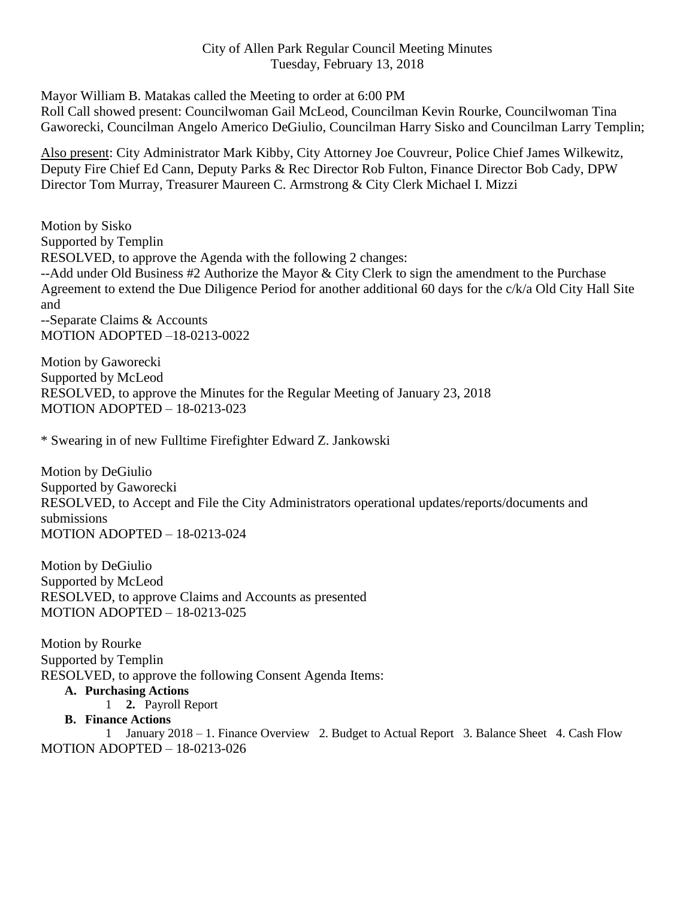## City of Allen Park Regular Council Meeting Minutes Tuesday, February 13, 2018

Mayor William B. Matakas called the Meeting to order at 6:00 PM

Roll Call showed present: Councilwoman Gail McLeod, Councilman Kevin Rourke, Councilwoman Tina Gaworecki, Councilman Angelo Americo DeGiulio, Councilman Harry Sisko and Councilman Larry Templin;

Also present: City Administrator Mark Kibby, City Attorney Joe Couvreur, Police Chief James Wilkewitz, Deputy Fire Chief Ed Cann, Deputy Parks & Rec Director Rob Fulton, Finance Director Bob Cady, DPW Director Tom Murray, Treasurer Maureen C. Armstrong & City Clerk Michael I. Mizzi

Motion by Sisko Supported by Templin RESOLVED, to approve the Agenda with the following 2 changes: --Add under Old Business #2 Authorize the Mayor & City Clerk to sign the amendment to the Purchase Agreement to extend the Due Diligence Period for another additional 60 days for the c/k/a Old City Hall Site and --Separate Claims & Accounts MOTION ADOPTED –18-0213-0022

Motion by Gaworecki Supported by McLeod RESOLVED, to approve the Minutes for the Regular Meeting of January 23, 2018 MOTION ADOPTED – 18-0213-023

\* Swearing in of new Fulltime Firefighter Edward Z. Jankowski

Motion by DeGiulio Supported by Gaworecki RESOLVED, to Accept and File the City Administrators operational updates/reports/documents and submissions MOTION ADOPTED – 18-0213-024

Motion by DeGiulio Supported by McLeod RESOLVED, to approve Claims and Accounts as presented MOTION ADOPTED – 18-0213-025

Motion by Rourke Supported by Templin RESOLVED, to approve the following Consent Agenda Items:

## **A. Purchasing Actions**

1 **2.** Payroll Report

**B. Finance Actions**

1 January 2018 – 1. Finance Overview 2. Budget to Actual Report 3. Balance Sheet 4. Cash Flow MOTION ADOPTED – 18-0213-026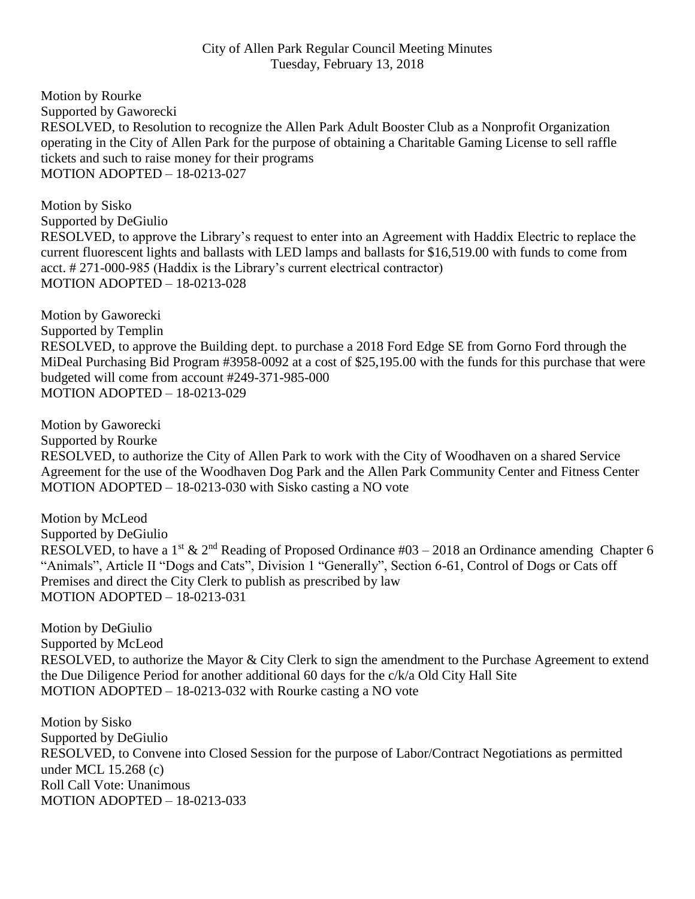## City of Allen Park Regular Council Meeting Minutes Tuesday, February 13, 2018

Motion by Rourke Supported by Gaworecki RESOLVED, to Resolution to recognize the Allen Park Adult Booster Club as a Nonprofit Organization operating in the City of Allen Park for the purpose of obtaining a Charitable Gaming License to sell raffle tickets and such to raise money for their programs MOTION ADOPTED – 18-0213-027

Motion by Sisko Supported by DeGiulio RESOLVED, to approve the Library's request to enter into an Agreement with Haddix Electric to replace the current fluorescent lights and ballasts with LED lamps and ballasts for \$16,519.00 with funds to come from acct. # 271-000-985 (Haddix is the Library's current electrical contractor) MOTION ADOPTED – 18-0213-028

Motion by Gaworecki Supported by Templin RESOLVED, to approve the Building dept. to purchase a 2018 Ford Edge SE from Gorno Ford through the MiDeal Purchasing Bid Program #3958-0092 at a cost of \$25,195.00 with the funds for this purchase that were budgeted will come from account #249-371-985-000 MOTION ADOPTED – 18-0213-029

Motion by Gaworecki Supported by Rourke RESOLVED, to authorize the City of Allen Park to work with the City of Woodhaven on a shared Service Agreement for the use of the Woodhaven Dog Park and the Allen Park Community Center and Fitness Center MOTION ADOPTED – 18-0213-030 with Sisko casting a NO vote

Motion by McLeod Supported by DeGiulio RESOLVED, to have a 1<sup>st</sup> & 2<sup>nd</sup> Reading of Proposed Ordinance #03 – 2018 an Ordinance amending Chapter 6 "Animals", Article II "Dogs and Cats", Division 1 "Generally", Section 6-61, Control of Dogs or Cats off Premises and direct the City Clerk to publish as prescribed by law MOTION ADOPTED – 18-0213-031

Motion by DeGiulio Supported by McLeod RESOLVED, to authorize the Mayor & City Clerk to sign the amendment to the Purchase Agreement to extend the Due Diligence Period for another additional 60 days for the c/k/a Old City Hall Site MOTION ADOPTED – 18-0213-032 with Rourke casting a NO vote

Motion by Sisko Supported by DeGiulio RESOLVED, to Convene into Closed Session for the purpose of Labor/Contract Negotiations as permitted under MCL 15.268 (c) Roll Call Vote: Unanimous MOTION ADOPTED – 18-0213-033